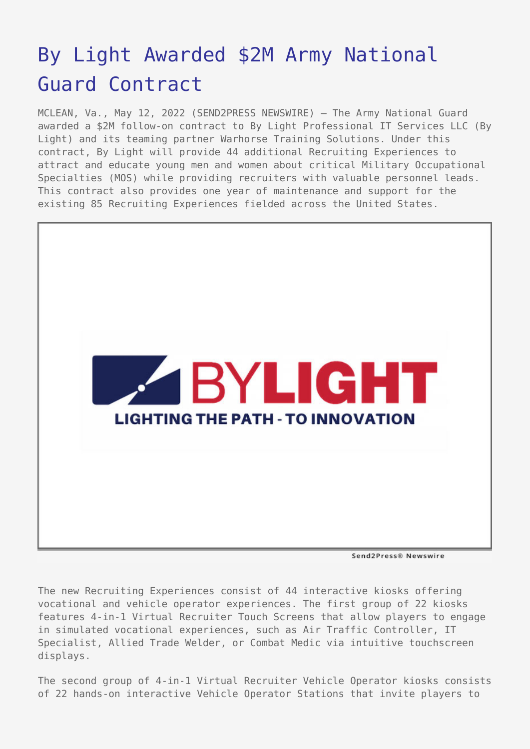## [By Light Awarded \\$2M Army National](https://www.send2press.com/wire/by-light-awarded-2m-army-national-guard-contract/) [Guard Contract](https://www.send2press.com/wire/by-light-awarded-2m-army-national-guard-contract/)

MCLEAN, Va., May 12, 2022 (SEND2PRESS NEWSWIRE) — The Army National Guard awarded a \$2M follow-on contract to By Light Professional IT Services LLC (By Light) and its teaming partner Warhorse Training Solutions. Under this contract, By Light will provide 44 additional Recruiting Experiences to attract and educate young men and women about critical Military Occupational Specialties (MOS) while providing recruiters with valuable personnel leads. This contract also provides one year of maintenance and support for the existing 85 Recruiting Experiences fielded across the United States.



Send2Press® Newswire

The new Recruiting Experiences consist of 44 interactive kiosks offering vocational and vehicle operator experiences. The first group of 22 kiosks features 4-in-1 Virtual Recruiter Touch Screens that allow players to engage in simulated vocational experiences, such as Air Traffic Controller, IT Specialist, Allied Trade Welder, or Combat Medic via intuitive touchscreen displays.

The second group of 4-in-1 Virtual Recruiter Vehicle Operator kiosks consists of 22 hands-on interactive Vehicle Operator Stations that invite players to